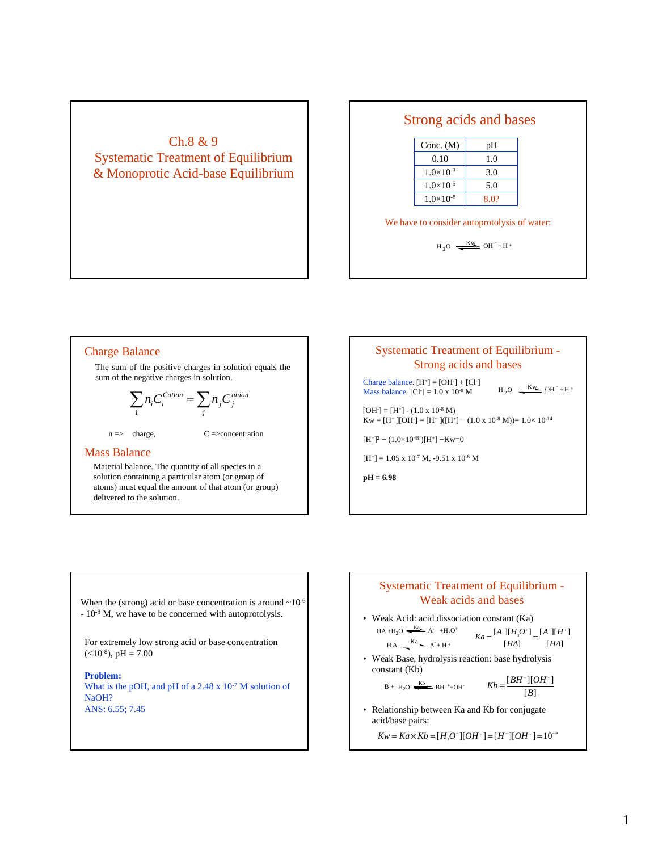# Ch.8 & 9 Systematic Treatment of Equilibrium & Monoprotic Acid-base Equilibrium

### Strong acids and bases

| Conc. $(M)$        | pН   |
|--------------------|------|
| 0.10               | 1.0  |
| $1.0\times10^{-3}$ | 3.0  |
| $1.0\times10^{-5}$ | 5.0  |
| $1.0\times10^{-8}$ | 8.0? |

#### We have to consider autoprotolysis of water:

 $H_2O \longrightarrow$  Kw OH + H +

#### Charge Balance The sum of the positive charges in solution equals the sum of the negative charges in solution. *anion j j*  $\sum_i n_i C_i^{Cation} = \sum_j n_j C$  $n \Rightarrow \text{charge}, \qquad C \Rightarrow \text{concentration}$

#### Mass Balance

Material balance. The quantity of all species in a solution containing a particular atom (or group of atoms) must equal the amount of that atom (or group) delivered to the solution.

### Systematic Treatment of Equilibrium - Strong acids and bases

Charge balance.  $[H^+] = [OH^-] + [Cl^-]$ Mass balance.  $[Cl^r] = 1.0 \times 10^{-8}$  M

 $H_2O \longrightarrow$  Kw OH +H +

 $[OH^-] = [H^+] - (1.0 \times 10^{-8} \text{ M})$  $Kw = [H^+][OH^-] = [H^+]([H^+] - (1.0 \times 10^{-8} \text{ M})) = 1.0 \times 10^{-14}$ 

 $[H^+]^2 - (1.0 \times 10^{-8}) [H^+] - Kw = 0$ 

 $[H^+] = 1.05 \times 10^{-7}$  M, -9.51 x 10<sup>-8</sup> M

**pH = 6.98**

When the (strong) acid or base concentration is around  $\sim$  10<sup>-6</sup> - 10-8 M, we have to be concerned with autoprotolysis.

For extremely low strong acid or base concentration  $(<10^{-8}$ ), pH = 7.00

**Problem:** What is the pOH, and pH of a  $2.48 \times 10^{-7}$  M solution of NaOH? ANS: 6.55; 7.45

### Systematic Treatment of Equilibrium - Weak acids and bases

• Weak Acid: acid dissociation constant (Ka)  $H_A + H_2O \xrightarrow[K_A]{K_A} A^+ + H_3O^+$ <br> $K_A = \frac{[A^-][H,O^+]}{[H_2O^+]} = \frac{[A^-][H^-]}{[H_2O^+]}$  $HA$   $\frac{Ka}{A+H+}$ 

$$
A^+ + H^+
$$

• Weak Base, hydrolysis reaction: base hydrolysis constant (Kb)

$$
B + H_2O \xrightarrow{Kb} BH^+ + OH^+ \qquad Kb = \frac{[BH^+][OH^-]}{[B]}
$$

• Relationship between Ka and Kb for conjugate acid/base pairs:

 $Kw = Ka \times Kb = [H_3 O^*][OH^-] = [H^*][OH^-] = 10^{-14}$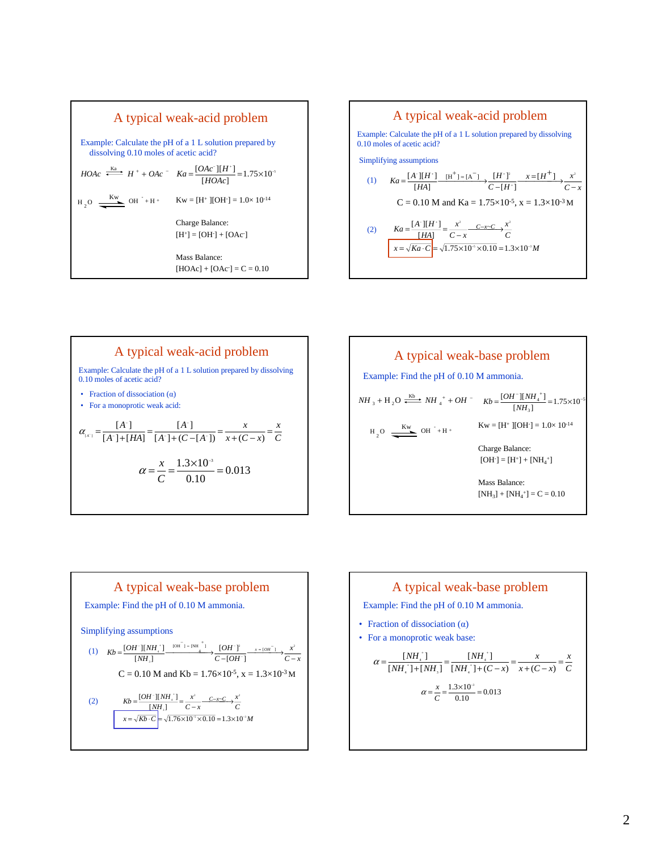









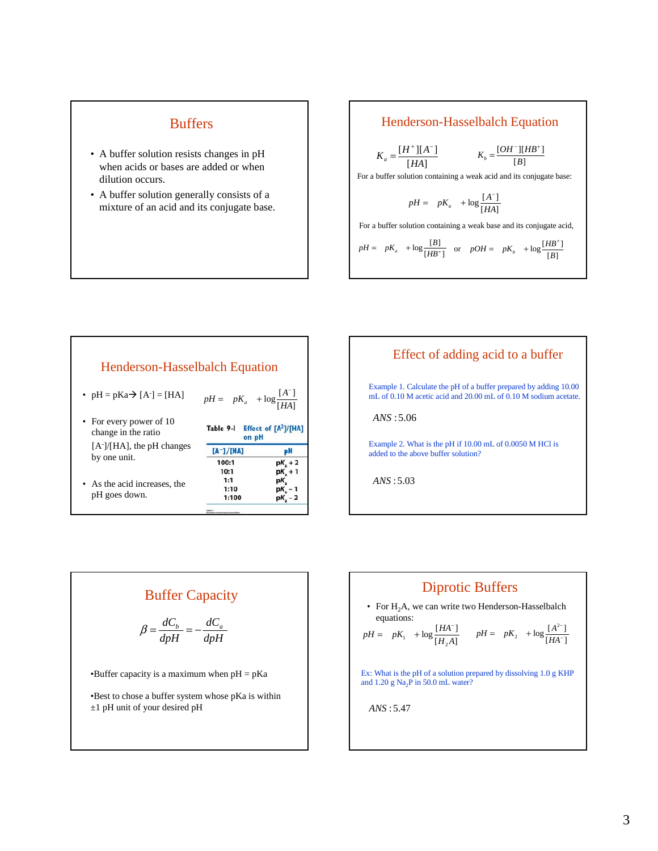## **Buffers**

- A buffer solution resists changes in pH when acids or bases are added or when dilution occurs.
- A buffer solution generally consists of a mixture of an acid and its conjugate base.

#### Henderson-Hasselbalch Equation

$$
K_a = \frac{[H^+][A^-]}{[HA]}
$$
 
$$
K_b = \frac{[OH^-][HB^+]}{[B]}
$$

For a buffer solution containing a weak acid and its conjugate base:

$$
pH = pK_a + \log \frac{[A^-]}{[HA]}
$$

For a buffer solution containing a weak base and its conjugate acid,

$$
pH = pK_a + \log \frac{[B]}{[HB^+]}
$$
 or 
$$
pOH = pK_b + \log \frac{[HB^+]}{[B]}
$$

| <b>Henderson-Hasselbalch Equation</b>                                                         |                                                        |           |  |  |
|-----------------------------------------------------------------------------------------------|--------------------------------------------------------|-----------|--|--|
| • $pH = pKa \rightarrow [A^{-}] = [HA]$                                                       | $pH = pK_a + \log \frac{[A^T]}{[HA]}$                  |           |  |  |
| • For every power of 10<br>change in the ratio                                                | Effect of [A <sup>2</sup> ]/[HA]<br>Table 9-I<br>on pH |           |  |  |
| $[A-]/[HA]$ , the pH changes<br>by one unit.<br>• As the acid increases, the<br>pH goes down. | $[A^-]/[HA]$                                           | pH        |  |  |
|                                                                                               | 100:1                                                  | $pKa + 2$ |  |  |
|                                                                                               | 10:1                                                   | pK + 1    |  |  |
|                                                                                               | 1:1                                                    | pК.       |  |  |
|                                                                                               | 1:10                                                   | pK - 1    |  |  |
|                                                                                               | 1:100                                                  | pK - 2    |  |  |
|                                                                                               |                                                        |           |  |  |



# Buffer Capacity

$$
\beta = \frac{dC_b}{dpH} = -\frac{dC_a}{dpH}
$$

•Buffer capacity is a maximum when  $pH = pKa$ 

•Best to chose a buffer system whose pKa is within ±1 pH unit of your desired pH

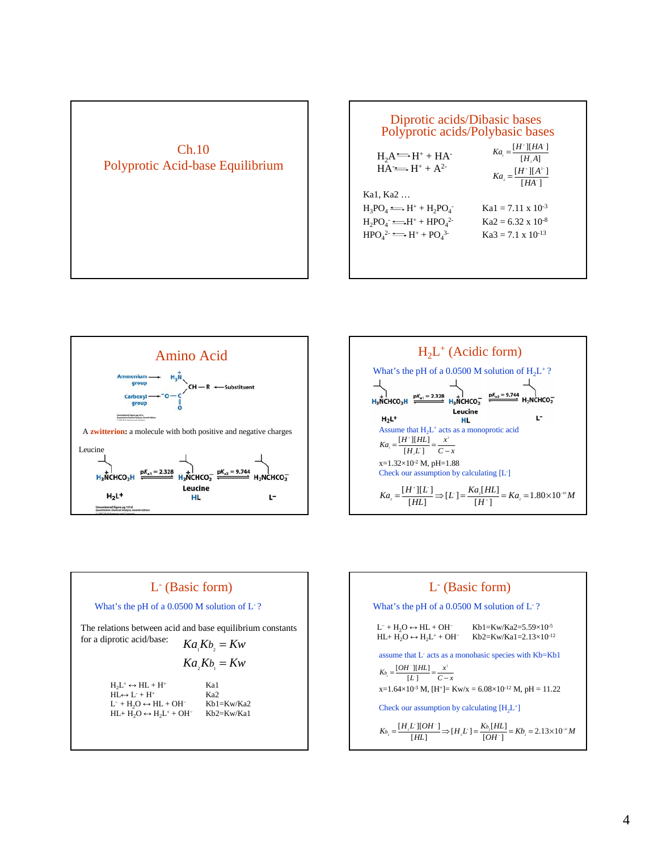





![](_page_3_Figure_3.jpeg)

#### L- (Basic form)

What's the pH of a 0.0500 M solution of L<sup>-</sup>?

 $Ka<sub>1</sub>Kb<sub>2</sub> = Kw$ The relations between acid and base equilibrium constants for a diprotic acid/base:

$$
Ka_{2}Kb_{1} = Kw
$$

 $H_2L^+ \leftrightarrow HL + H^+$  Ka1<br>  $HI \leftrightarrow L^+ + H^+$  Ka2  $HL \leftrightarrow L^- + H^+$ <br>  $L^- + H_2O \leftrightarrow HL + OH^-$  Kb1=Kw/Ka2 L<sup>-</sup> + H<sub>2</sub>O ↔ HL + OH<sup>-</sup> Kb1=Kw/Ka2<br>HL+ H<sub>2</sub>O ↔ H<sub>2</sub>L<sup>+</sup> + OH<sup>-</sup> Kb2=Kw/Ka1  $HL+ H<sub>2</sub>O \leftrightarrow H<sub>2</sub>L<sup>+</sup> + OH<sup>-</sup>$ 

L- (Basic form)  $K_{b_2} = \frac{[H_{\perp}L^*][OH^-]}{[HL]} \Rightarrow [H_{\perp}L^*] = \frac{K_{b_2}[HL]}{[OH^-]} = Kb_2 = 2.13 \times 10^{-2} M$ What's the pH of a 0.0500 M solution of L<sup>-</sup>?  $x=1.64\times10^{-3}$  M, [H<sup>+</sup>]= Kw/x = 6.08×10<sup>-12</sup> M, pH = 11.22 Check our assumption by calculating  $[H_2L^+]$ *C x x*  $K_{b_1} = \frac{[OH^-][HL]}{[L^-]} = \frac{x^2}{C-}$  $[L]$  $[OH^-] [HL]$ assume that L- acts as a monobasic species with Kb=Kb1 L<sup>-</sup> + H<sub>2</sub>O ↔ HL + OH<sup>-</sup> Kb1=Kw/Ka2=5.59×10<sup>-5</sup><br>HL+ H<sub>2</sub>O ↔ H<sub>2</sub>L<sup>+</sup> + OH<sup>-</sup> Kb2=Kw/Ka1=2.13×10<sup>-12</sup> Kb2=Kw/Ka1=2.13×10<sup>-12</sup>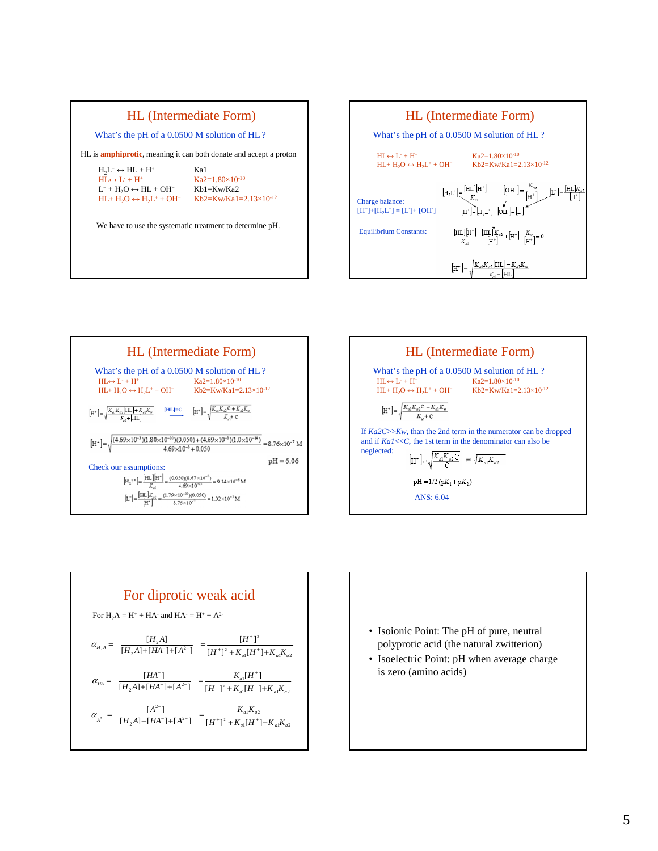![](_page_4_Figure_0.jpeg)

![](_page_4_Figure_1.jpeg)

![](_page_4_Figure_2.jpeg)

![](_page_4_Figure_3.jpeg)

![](_page_4_Figure_4.jpeg)

![](_page_4_Figure_5.jpeg)